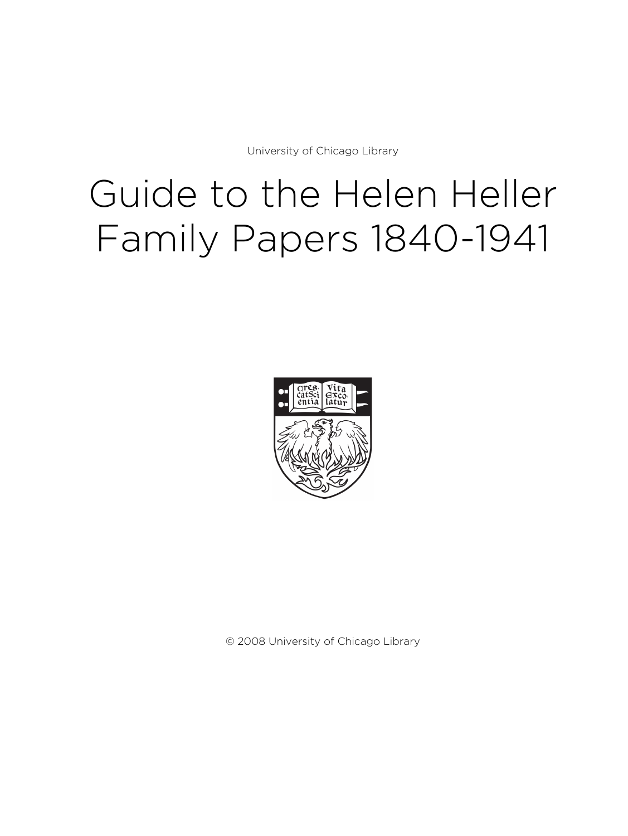University of Chicago Library

# Guide to the Helen Heller Family Papers 1840-1941



© 2008 University of Chicago Library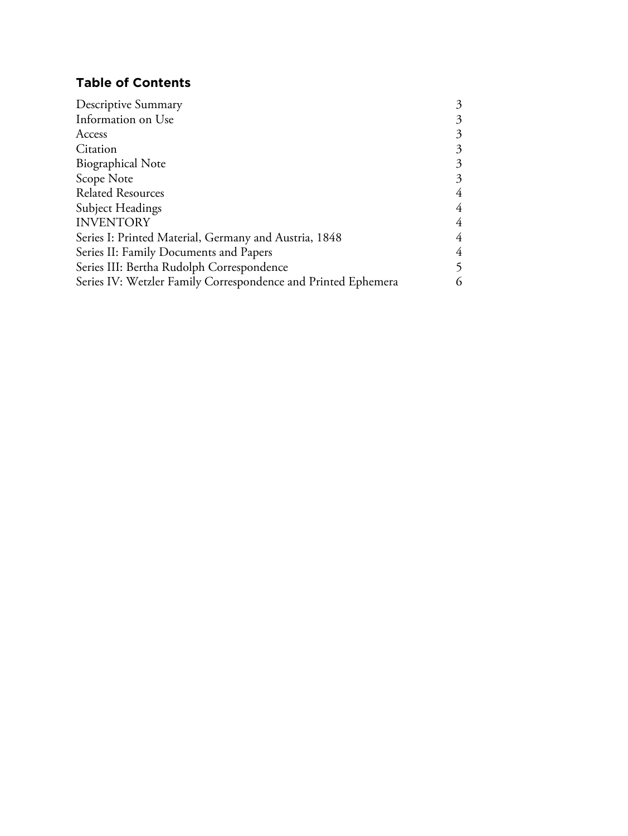# **Table of Contents**

| Descriptive Summary                                           | 3 |
|---------------------------------------------------------------|---|
| Information on Use                                            | 3 |
| Access                                                        |   |
| Citation                                                      | 3 |
| <b>Biographical Note</b>                                      | 3 |
| Scope Note                                                    | 3 |
| <b>Related Resources</b>                                      | 4 |
| Subject Headings                                              | 4 |
| <b>INVENTORY</b>                                              | 4 |
| Series I: Printed Material, Germany and Austria, 1848         | 4 |
| Series II: Family Documents and Papers                        | 4 |
| Series III: Bertha Rudolph Correspondence                     |   |
| Series IV: Wetzler Family Correspondence and Printed Ephemera | 6 |
|                                                               |   |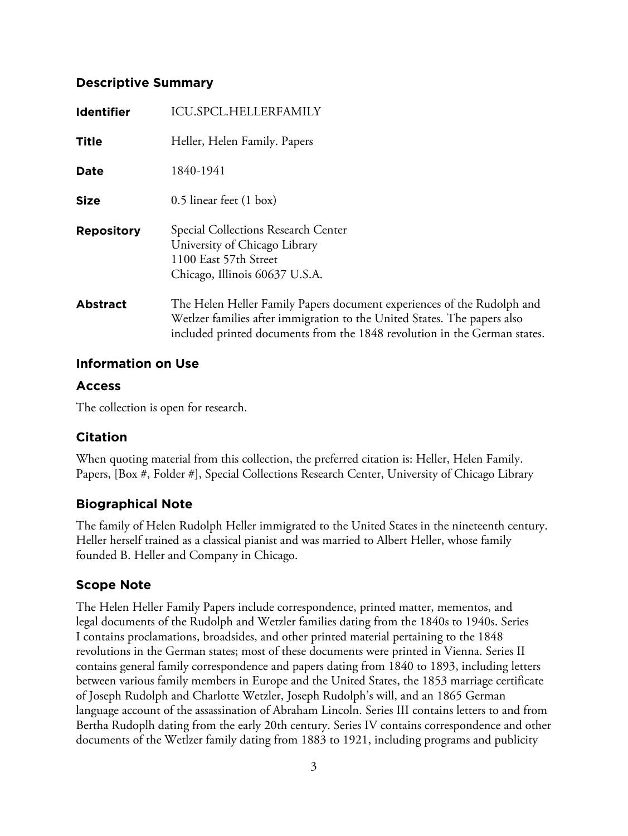# **Descriptive Summary**

| <b>Identifier</b> | <b>ICU.SPCL.HELLERFAMILY</b>                                                                                                                                                                                                    |
|-------------------|---------------------------------------------------------------------------------------------------------------------------------------------------------------------------------------------------------------------------------|
| <b>Title</b>      | Heller, Helen Family. Papers                                                                                                                                                                                                    |
| Date              | 1840-1941                                                                                                                                                                                                                       |
| <b>Size</b>       | 0.5 linear feet (1 box)                                                                                                                                                                                                         |
| <b>Repository</b> | Special Collections Research Center<br>University of Chicago Library<br>1100 East 57th Street<br>Chicago, Illinois 60637 U.S.A.                                                                                                 |
| <b>Abstract</b>   | The Helen Heller Family Papers document experiences of the Rudolph and<br>Wetlzer families after immigration to the United States. The papers also<br>included printed documents from the 1848 revolution in the German states. |

# **Information on Use**

# **Access**

The collection is open for research.

# **Citation**

When quoting material from this collection, the preferred citation is: Heller, Helen Family. Papers, [Box #, Folder #], Special Collections Research Center, University of Chicago Library

# **Biographical Note**

The family of Helen Rudolph Heller immigrated to the United States in the nineteenth century. Heller herself trained as a classical pianist and was married to Albert Heller, whose family founded B. Heller and Company in Chicago.

# **Scope Note**

The Helen Heller Family Papers include correspondence, printed matter, mementos, and legal documents of the Rudolph and Wetzler families dating from the 1840s to 1940s. Series I contains proclamations, broadsides, and other printed material pertaining to the 1848 revolutions in the German states; most of these documents were printed in Vienna. Series II contains general family correspondence and papers dating from 1840 to 1893, including letters between various family members in Europe and the United States, the 1853 marriage certificate of Joseph Rudolph and Charlotte Wetzler, Joseph Rudolph's will, and an 1865 German language account of the assassination of Abraham Lincoln. Series III contains letters to and from Bertha Rudoplh dating from the early 20th century. Series IV contains correspondence and other documents of the Wetlzer family dating from 1883 to 1921, including programs and publicity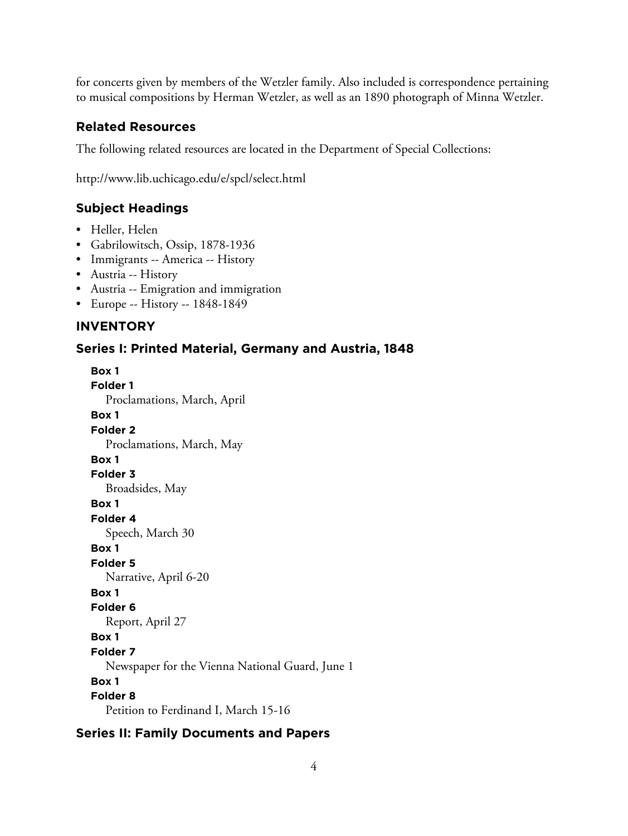for concerts given by members of the Wetzler family. Also included is correspondence pertaining to musical compositions by Herman Wetzler, as well as an 1890 photograph of Minna Wetzler.

#### **Related Resources**

The following related resources are located in the Department of Special Collections:

http://www.lib.uchicago.edu/e/spcl/select.html

#### **Subject Headings**

- Heller, Helen
- Gabrilowitsch, Ossip, 1878-1936
- Immigrants -- America -- History
- Austria -- History
- Austria -- Emigration and immigration
- Europe -- History -- 1848-1849

#### **INVENTORY**

#### **Series I: Printed Material, Germany and Austria, 1848**

**Box 1 Folder 1** Proclamations, March, April **Box 1 Folder 2** Proclamations, March, May **Box 1 Folder 3** Broadsides, May **Box 1 Folder 4** Speech, March 30 **Box 1 Folder 5** Narrative, April 6-20 **Box 1 Folder 6** Report, April 27 **Box 1 Folder 7** Newspaper for the Vienna National Guard, June 1 **Box 1 Folder 8** Petition to Ferdinand I, March 15-16

#### **Series II: Family Documents and Papers**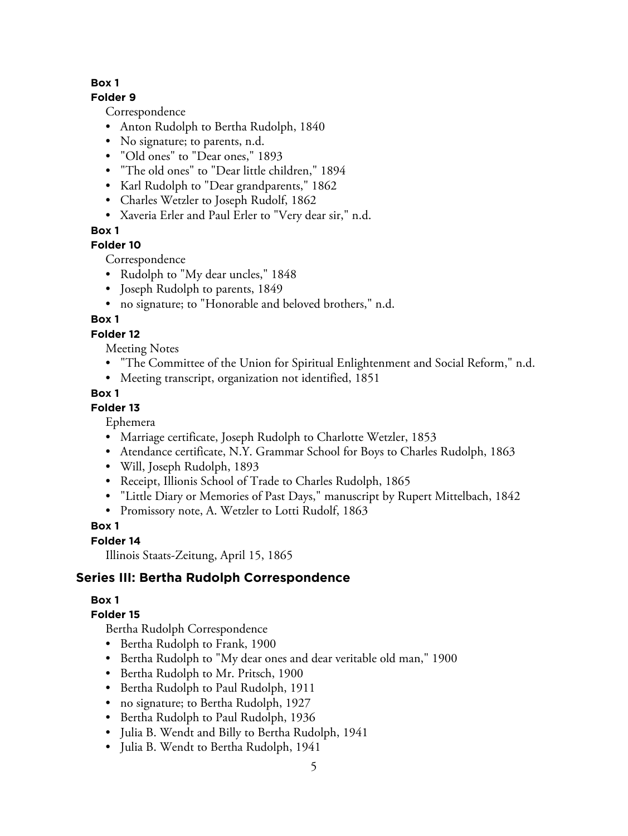#### **Box 1**

#### **Folder 9**

Correspondence

- Anton Rudolph to Bertha Rudolph, 1840
- No signature; to parents, n.d.
- "Old ones" to "Dear ones," 1893
- "The old ones" to "Dear little children," 1894
- Karl Rudolph to "Dear grandparents," 1862
- Charles Wetzler to Joseph Rudolf, 1862
- Xaveria Erler and Paul Erler to "Very dear sir," n.d.

#### **Box 1**

# **Folder 10**

Correspondence

- Rudolph to "My dear uncles," 1848
- Joseph Rudolph to parents, 1849
- no signature; to "Honorable and beloved brothers," n.d.

# **Box 1**

# **Folder 12**

Meeting Notes

- "The Committee of the Union for Spiritual Enlightenment and Social Reform," n.d.
- Meeting transcript, organization not identified, 1851

# **Box 1**

#### **Folder 13**

Ephemera

- Marriage certificate, Joseph Rudolph to Charlotte Wetzler, 1853
- Atendance certificate, N.Y. Grammar School for Boys to Charles Rudolph, 1863
- Will, Joseph Rudolph, 1893
- Receipt, Illionis School of Trade to Charles Rudolph, 1865
- "Little Diary or Memories of Past Days," manuscript by Rupert Mittelbach, 1842
- Promissory note, A. Wetzler to Lotti Rudolf, 1863

# **Box 1**

#### **Folder 14**

Illinois Staats-Zeitung, April 15, 1865

# **Series III: Bertha Rudolph Correspondence**

# **Box 1**

# **Folder 15**

Bertha Rudolph Correspondence

- Bertha Rudolph to Frank, 1900
- Bertha Rudolph to "My dear ones and dear veritable old man," 1900
- Bertha Rudolph to Mr. Pritsch, 1900
- Bertha Rudolph to Paul Rudolph, 1911
- no signature; to Bertha Rudolph, 1927
- Bertha Rudolph to Paul Rudolph, 1936
- Julia B. Wendt and Billy to Bertha Rudolph, 1941
- Julia B. Wendt to Bertha Rudolph, 1941